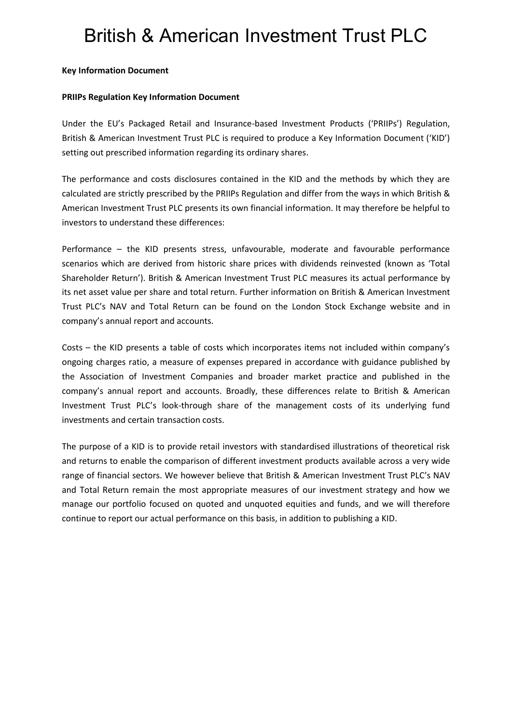## British & American Investment Trust PLC

## **Key Information Document**

## **PRIIPs Regulation Key Information Document**

Under the EU's Packaged Retail and Insurance-based Investment Products ('PRIIPs') Regulation, British & American Investment Trust PLC is required to produce a Key Information Document ('KID') setting out prescribed information regarding its ordinary shares.

The performance and costs disclosures contained in the KID and the methods by which they are calculated are strictly prescribed by the PRIIPs Regulation and differ from the ways in which British & American Investment Trust PLC presents its own financial information. It may therefore be helpful to investors to understand these differences:

Performance – the KID presents stress, unfavourable, moderate and favourable performance scenarios which are derived from historic share prices with dividends reinvested (known as 'Total Shareholder Return'). British & American Investment Trust PLC measures its actual performance by its net asset value per share and total return. Further information on British & American Investment Trust PLC's NAV and Total Return can be found on the London Stock Exchange website and in company's annual report and accounts.

Costs – the KID presents a table of costs which incorporates items not included within company's ongoing charges ratio, a measure of expenses prepared in accordance with guidance published by the Association of Investment Companies and broader market practice and published in the company's annual report and accounts. Broadly, these differences relate to British & American Investment Trust PLC's look-through share of the management costs of its underlying fund investments and certain transaction costs.

The purpose of a KID is to provide retail investors with standardised illustrations of theoretical risk and returns to enable the comparison of different investment products available across a very wide range of financial sectors. We however believe that British & American Investment Trust PLC's NAV and Total Return remain the most appropriate measures of our investment strategy and how we manage our portfolio focused on quoted and unquoted equities and funds, and we will therefore continue to report our actual performance on this basis, in addition to publishing a KID.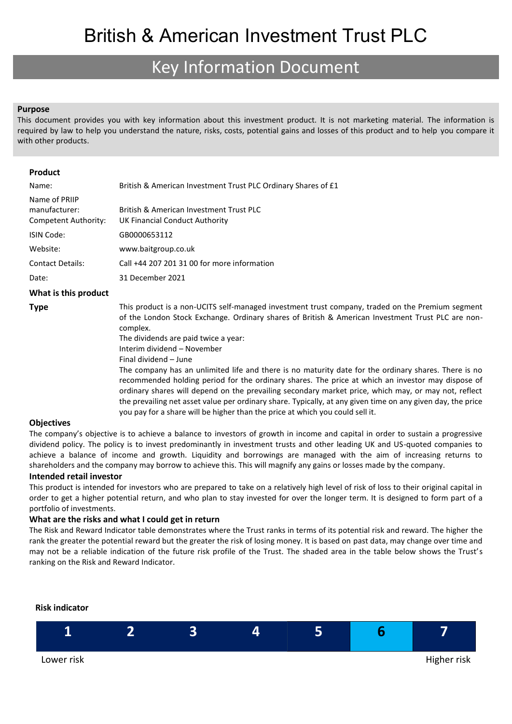## Key Information Document

### **Purpose**

This document provides you with key information about this investment product. It is not marketing material. The information is required by law to help you understand the nature, risks, costs, potential gains and losses of this product and to help you compare it with other products.

| Product                 |                                                                                                                                                                                                                                                                                                                                                                                                                                                                                                                                                                                                                                                                                                                                                                                                                                        |
|-------------------------|----------------------------------------------------------------------------------------------------------------------------------------------------------------------------------------------------------------------------------------------------------------------------------------------------------------------------------------------------------------------------------------------------------------------------------------------------------------------------------------------------------------------------------------------------------------------------------------------------------------------------------------------------------------------------------------------------------------------------------------------------------------------------------------------------------------------------------------|
| Name:                   |                                                                                                                                                                                                                                                                                                                                                                                                                                                                                                                                                                                                                                                                                                                                                                                                                                        |
|                         | British & American Investment Trust PLC Ordinary Shares of £1                                                                                                                                                                                                                                                                                                                                                                                                                                                                                                                                                                                                                                                                                                                                                                          |
| Name of PRIIP           |                                                                                                                                                                                                                                                                                                                                                                                                                                                                                                                                                                                                                                                                                                                                                                                                                                        |
| manufacturer:           | British & American Investment Trust PLC                                                                                                                                                                                                                                                                                                                                                                                                                                                                                                                                                                                                                                                                                                                                                                                                |
| Competent Authority:    | UK Financial Conduct Authority                                                                                                                                                                                                                                                                                                                                                                                                                                                                                                                                                                                                                                                                                                                                                                                                         |
| <b>ISIN Code:</b>       | GB0000653112                                                                                                                                                                                                                                                                                                                                                                                                                                                                                                                                                                                                                                                                                                                                                                                                                           |
| Website:                | www.baitgroup.co.uk                                                                                                                                                                                                                                                                                                                                                                                                                                                                                                                                                                                                                                                                                                                                                                                                                    |
| <b>Contact Details:</b> | Call +44 207 201 31 00 for more information                                                                                                                                                                                                                                                                                                                                                                                                                                                                                                                                                                                                                                                                                                                                                                                            |
| Date:                   | 31 December 2021                                                                                                                                                                                                                                                                                                                                                                                                                                                                                                                                                                                                                                                                                                                                                                                                                       |
| What is this product    |                                                                                                                                                                                                                                                                                                                                                                                                                                                                                                                                                                                                                                                                                                                                                                                                                                        |
| <b>Type</b>             | This product is a non-UCITS self-managed investment trust company, traded on the Premium segment<br>of the London Stock Exchange. Ordinary shares of British & American Investment Trust PLC are non-<br>complex.<br>The dividends are paid twice a year:<br>Interim dividend - November<br>Final dividend - June<br>The company has an unlimited life and there is no maturity date for the ordinary shares. There is no<br>recommended holding period for the ordinary shares. The price at which an investor may dispose of<br>ordinary shares will depend on the prevailing secondary market price, which may, or may not, reflect<br>the prevailing net asset value per ordinary share. Typically, at any given time on any given day, the price<br>you pay for a share will be higher than the price at which you could sell it. |

### **Objectives**

The company's objective is to achieve a balance to investors of growth in income and capital in order to sustain a progressive dividend policy. The policy is to invest predominantly in investment trusts and other leading UK and US-quoted companies to achieve a balance of income and growth. Liquidity and borrowings are managed with the aim of increasing returns to shareholders and the company may borrow to achieve this. This will magnify any gains or losses made by the company.

### **Intended retail investor**

This product is intended for investors who are prepared to take on a relatively high level of risk of loss to their original capital in order to get a higher potential return, and who plan to stay invested for over the longer term. It is designed to form part of a portfolio of investments.

### **What are the risks and what I could get in return**

The Risk and Reward Indicator table demonstrates where the Trust ranks in terms of its potential risk and reward. The higher the rank the greater the potential reward but the greater the risk of losing money. It is based on past data, may change over time and may not be a reliable indication of the future risk profile of the Trust. The shaded area in the table below shows the Trust's ranking on the Risk and Reward Indicator.



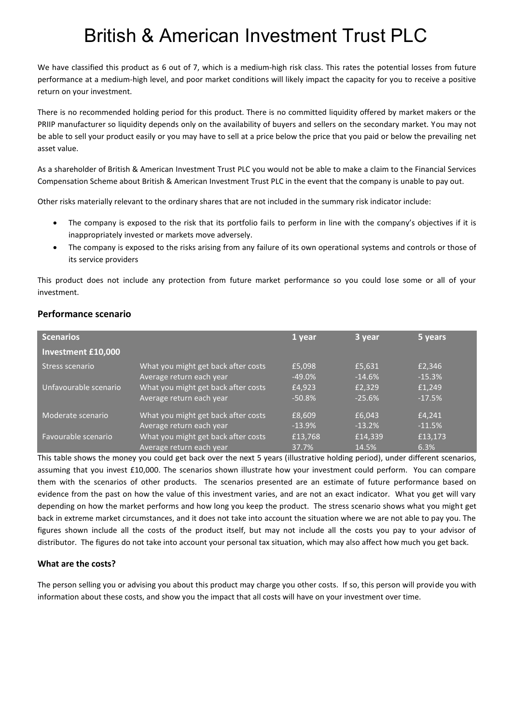# British & American Investment Trust PLC

We have classified this product as 6 out of 7, which is a medium-high risk class. This rates the potential losses from future performance at a medium-high level, and poor market conditions will likely impact the capacity for you to receive a positive return on your investment.

There is no recommended holding period for this product. There is no committed liquidity offered by market makers or the PRIIP manufacturer so liquidity depends only on the availability of buyers and sellers on the secondary market. You may not be able to sell your product easily or you may have to sell at a price below the price that you paid or below the prevailing net asset value.

As a shareholder of British & American Investment Trust PLC you would not be able to make a claim to the Financial Services Compensation Scheme about British & American Investment Trust PLC in the event that the company is unable to pay out.

Other risks materially relevant to the ordinary shares that are not included in the summary risk indicator include:

- The company is exposed to the risk that its portfolio fails to perform in line with the company's objectives if it is inappropriately invested or markets move adversely.
- The company is exposed to the risks arising from any failure of its own operational systems and controls or those of its service providers

This product does not include any protection from future market performance so you could lose some or all of your investment.

## **Performance scenario**

| <b>Scenarios</b>          |                                     | 1 year   | 3 year   | 5 years  |
|---------------------------|-------------------------------------|----------|----------|----------|
| <b>Investment £10,000</b> |                                     |          |          |          |
| Stress scenario           | What you might get back after costs | £5,098   | £5,631   | £2,346   |
|                           | Average return each year            | $-49.0%$ | $-14.6%$ | $-15.3%$ |
| Unfavourable scenario     | What you might get back after costs | £4,923   | £2,329   | £1,249   |
|                           | Average return each year            | $-50.8%$ | $-25.6%$ | $-17.5%$ |
| Moderate scenario         | What you might get back after costs | £8,609   | £6.043   | £4.241   |
|                           | Average return each year            | $-13.9%$ | $-13.2%$ | $-11.5%$ |
| Favourable scenario       | What you might get back after costs | £13,768  | £14,339  | £13,173  |
|                           | Average return each year            | 37.7%    | 14.5%    | 6.3%     |

This table shows the money you could get back over the next 5 years (illustrative holding period), under different scenarios, assuming that you invest £10,000. The scenarios shown illustrate how your investment could perform. You can compare them with the scenarios of other products. The scenarios presented are an estimate of future performance based on evidence from the past on how the value of this investment varies, and are not an exact indicator. What you get will vary depending on how the market performs and how long you keep the product. The stress scenario shows what you might get back in extreme market circumstances, and it does not take into account the situation where we are not able to pay you. The figures shown include all the costs of the product itself, but may not include all the costs you pay to your advisor of distributor. The figures do not take into account your personal tax situation, which may also affect how much you get back.

## **What are the costs?**

The person selling you or advising you about this product may charge you other costs. If so, this person will provide you with information about these costs, and show you the impact that all costs will have on your investment over time.